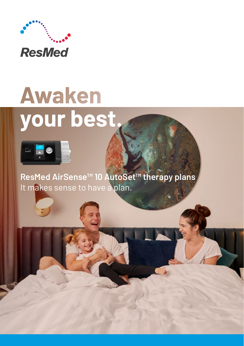

# **Awaken** your best.



**ResMed AirSense™ 10 AutoSet™ therapy plans** It makes sense to have a plan.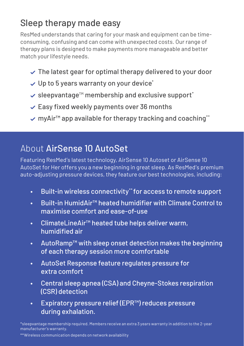# Sleep therapy made easy

ResMed understands that caring for your mask and equipment can be timeconsuming, confusing and can come with unexpected costs. Our range of therapy plans is designed to make payments more manageable and better match your lifestyle needs.

- $\vee$  The latest gear for optimal therapy delivered to your door
- $\vee$  Up to 5 years warranty on your device\*
- sleepvantage™ membership and exclusive support\*
- $\checkmark$  Easy fixed weekly payments over 36 months
- myAir™ app available for therapy tracking and coaching\*\*

# About AirSense 10 AutoSet

Featuring ResMed's latest technology, AirSense 10 Autoset or AirSense 10 AutoSet for Her offers you a new beginning in great sleep. As ResMed's premium auto-adjusting pressure devices, they feature our best technologies, including:

- Built-in wireless connectivity\*\* for access to remote support
- Built-in HumidAir™ heated humidifier with Climate Control to maximise comfort and ease-of-use
- ClimateLineAir™ heated tube helps deliver warm, humidified air
- AutoRamp™ with sleep onset detection makes the beginning of each therapy session more comfortable
- AutoSet Response feature regulates pressure for extra comfort
- Central sleep apnea (CSA) and Cheyne-Stokes respiration (CSR) detection
- Expiratory pressure relief (EPR™) reduces pressure during exhalation.

\*sleepvantage membership required. Members receive an extra 3 years warranty in addition to the 2-year manufacturer's warranty.

\*\*Wireless communication depends on network availability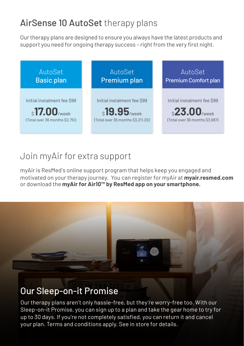# AirSense 10 AutoSet therapy plans

Our therapy plans are designed to ensure you always have the latest products and support you need for ongoing therapy success – right from the very first night.



#### Join myAir for extra support

myAir is ResMed's online support program that helps keep you engaged and motivated on your therapy journey. You can register for myAir at **myair.resmed.com**  or download the **myAir for Air10™ by ResMed app on your smartphone.**



## Our Sleep-on-it Promise

Our therapy plans aren't only hassle-free, but they're worry-free too. With our Sleep-on-it Promise, you can sign up to a plan and take the gear home to try for up to 30 days. If you're not completely satisfied, you can return it and cancel your plan. Terms and conditions apply. See in store for details.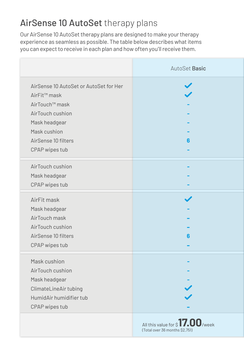# AirSense 10 AutoSet therapy plans

Our AirSense 10 AutoSet therapy plans are designed to make your therapy experience as seamless as possible. The table below describes what items you can expect to receive in each plan and how often you'll receive them.

|                                        | AutoSet Basic                                                     |
|----------------------------------------|-------------------------------------------------------------------|
| AirSense 10 AutoSet or AutoSet for Her | $\blacktriangledown$                                              |
| AirFit™ mask                           |                                                                   |
| AirTouch™ mask                         |                                                                   |
| AirTouch cushion                       |                                                                   |
| Mask headgear                          |                                                                   |
| Mask cushion                           |                                                                   |
| AirSense 10 filters                    | 6                                                                 |
| CPAP wipes tub                         |                                                                   |
|                                        |                                                                   |
| AirTouch cushion                       |                                                                   |
| Mask headgear                          |                                                                   |
| CPAP wipes tub                         |                                                                   |
| AirFit mask                            | $\checkmark$                                                      |
| Mask headgear                          |                                                                   |
| AirTouch mask                          |                                                                   |
| AirTouch cushion                       |                                                                   |
| AirSense 10 filters                    | 6                                                                 |
|                                        |                                                                   |
| CPAP wipes tub                         |                                                                   |
| Mask cushion                           |                                                                   |
| AirTouch cushion                       |                                                                   |
| Mask headgear                          |                                                                   |
| ClimateLineAir tubing                  |                                                                   |
| HumidAir humidifier tub                |                                                                   |
| CPAP wipes tub                         |                                                                   |
|                                        | All this value for \$17.00/week<br>(Total over 36 months \$2.751) |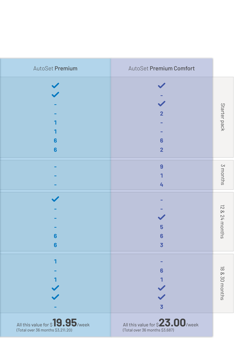|                | AutoSet Premium Comfort                                           | AutoSet Premium                                                      |
|----------------|-------------------------------------------------------------------|----------------------------------------------------------------------|
| Starter pack   | $\overline{\mathbf{2}}$<br>6<br>$\overline{2}$                    | 6<br>$6\phantom{a}$                                                  |
| 3 months       | $\overline{9}$<br>1<br>4                                          |                                                                      |
| 12 & 24 months | 5<br>$6\phantom{1}6$<br>$\overline{3}$                            | $\blacktriangledown$<br>$6\phantom{a}$<br>$6\phantom{a}$             |
| 18 & 30 months | $6\phantom{1}6$<br>$\overline{3}$                                 | $\mathbf{I}$                                                         |
|                | All this value for \$23.00/week<br>(Total over 36 months \$3,687) | All this value for \$19.95/week<br>(Total over 36 months \$3,211.20) |